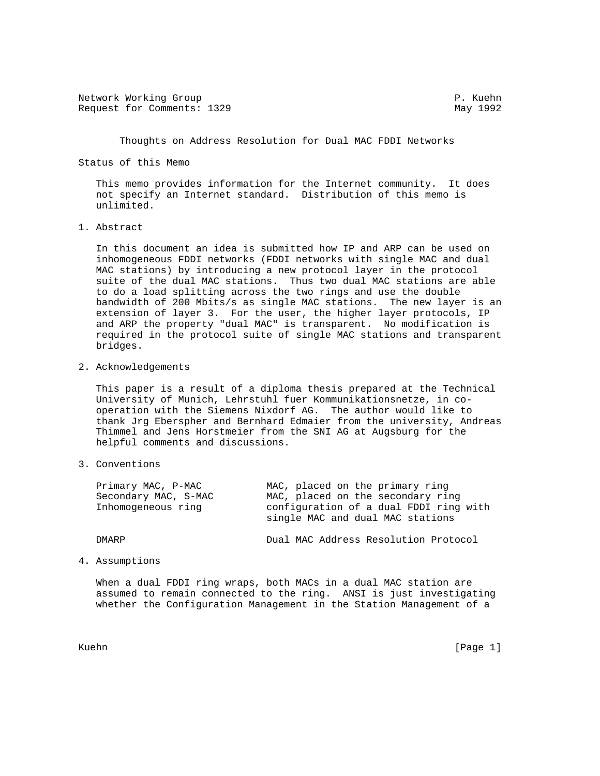Network Working Group **P. Kuehn** Request for Comments: 1329 May 1992

Thoughts on Address Resolution for Dual MAC FDDI Networks

Status of this Memo

 This memo provides information for the Internet community. It does not specify an Internet standard. Distribution of this memo is unlimited.

1. Abstract

 In this document an idea is submitted how IP and ARP can be used on inhomogeneous FDDI networks (FDDI networks with single MAC and dual MAC stations) by introducing a new protocol layer in the protocol suite of the dual MAC stations. Thus two dual MAC stations are able to do a load splitting across the two rings and use the double bandwidth of 200 Mbits/s as single MAC stations. The new layer is an extension of layer 3. For the user, the higher layer protocols, IP and ARP the property "dual MAC" is transparent. No modification is required in the protocol suite of single MAC stations and transparent bridges.

2. Acknowledgements

 This paper is a result of a diploma thesis prepared at the Technical University of Munich, Lehrstuhl fuer Kommunikationsnetze, in co operation with the Siemens Nixdorf AG. The author would like to thank Jrg Eberspher and Bernhard Edmaier from the university, Andreas Thimmel and Jens Horstmeier from the SNI AG at Augsburg for the helpful comments and discussions.

3. Conventions

| Primary MAC, P-MAC<br>Secondary MAC, S-MAC<br>Inhomogeneous ring | MAC, placed on the primary ring<br>MAC, placed on the secondary ring<br>configuration of a dual FDDI ring with<br>single MAC and dual MAC stations |
|------------------------------------------------------------------|----------------------------------------------------------------------------------------------------------------------------------------------------|
| DMARP                                                            | Dual MAC Address Resolution Protocol                                                                                                               |

4. Assumptions

 When a dual FDDI ring wraps, both MACs in a dual MAC station are assumed to remain connected to the ring. ANSI is just investigating whether the Configuration Management in the Station Management of a

Kuehn [Page 1]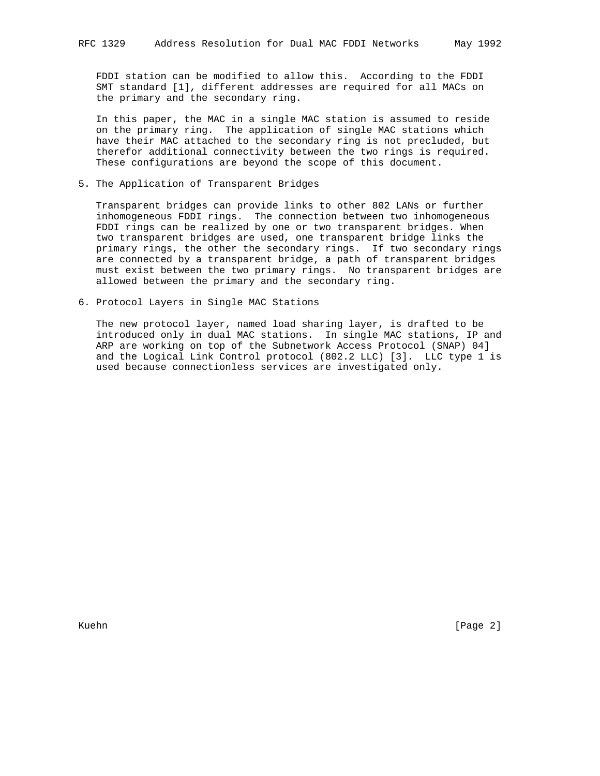FDDI station can be modified to allow this. According to the FDDI SMT standard [1], different addresses are required for all MACs on the primary and the secondary ring.

 In this paper, the MAC in a single MAC station is assumed to reside on the primary ring. The application of single MAC stations which have their MAC attached to the secondary ring is not precluded, but therefor additional connectivity between the two rings is required. These configurations are beyond the scope of this document.

5. The Application of Transparent Bridges

 Transparent bridges can provide links to other 802 LANs or further inhomogeneous FDDI rings. The connection between two inhomogeneous FDDI rings can be realized by one or two transparent bridges. When two transparent bridges are used, one transparent bridge links the primary rings, the other the secondary rings. If two secondary rings are connected by a transparent bridge, a path of transparent bridges must exist between the two primary rings. No transparent bridges are allowed between the primary and the secondary ring.

6. Protocol Layers in Single MAC Stations

 The new protocol layer, named load sharing layer, is drafted to be introduced only in dual MAC stations. In single MAC stations, IP and ARP are working on top of the Subnetwork Access Protocol (SNAP) 04] and the Logical Link Control protocol (802.2 LLC) [3]. LLC type 1 is used because connectionless services are investigated only.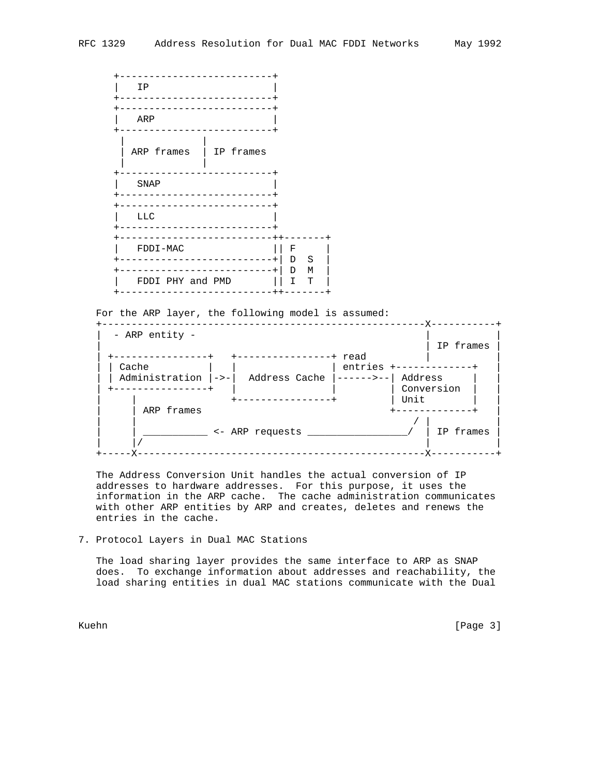+--------------------------+  $|$  IP +--------------------------+ +--------------------------+ | ARP | +--------------------------+ | | | ARP frames | IP frames | | +--------------------------+ | SNAP | +--------------------------+ +--------------------------+  $LLC$  +--------------------------+ +--------------------------++-------+ | FDDI-MAC || F +--------------------------+| D S | +--------------------------+| D M | | FDDI PHY and PMD  $|| I T$ +--------------------------++-------+

For the ARP layer, the following model is assumed:



 The Address Conversion Unit handles the actual conversion of IP addresses to hardware addresses. For this purpose, it uses the information in the ARP cache. The cache administration communicates with other ARP entities by ARP and creates, deletes and renews the entries in the cache.

7. Protocol Layers in Dual MAC Stations

 The load sharing layer provides the same interface to ARP as SNAP does. To exchange information about addresses and reachability, the load sharing entities in dual MAC stations communicate with the Dual

Kuehn [Page 3]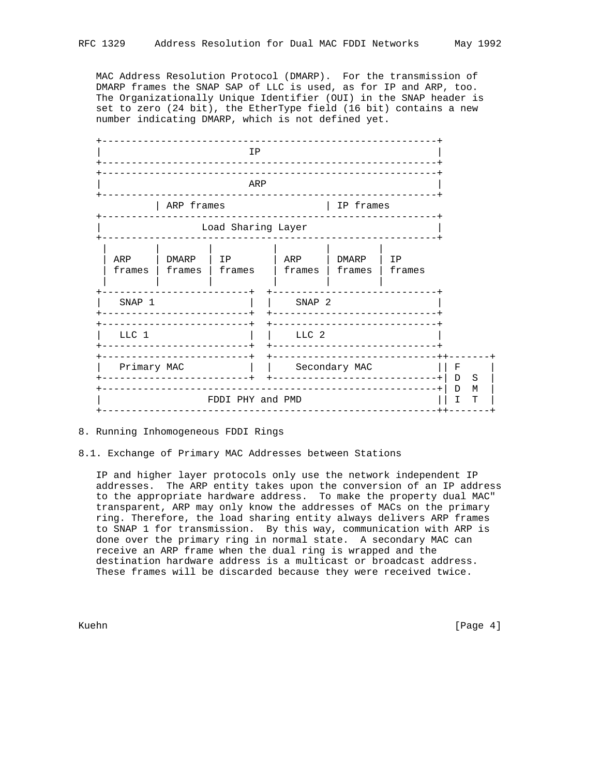MAC Address Resolution Protocol (DMARP). For the transmission of DMARP frames the SNAP SAP of LLC is used, as for IP and ARP, too. The Organizationally Unique Identifier (OUI) in the SNAP header is set to zero (24 bit), the EtherType field (16 bit) contains a new



# 8. Running Inhomogeneous FDDI Rings

### 8.1. Exchange of Primary MAC Addresses between Stations

 IP and higher layer protocols only use the network independent IP addresses. The ARP entity takes upon the conversion of an IP address to the appropriate hardware address. To make the property dual MAC" transparent, ARP may only know the addresses of MACs on the primary ring. Therefore, the load sharing entity always delivers ARP frames to SNAP 1 for transmission. By this way, communication with ARP is done over the primary ring in normal state. A secondary MAC can receive an ARP frame when the dual ring is wrapped and the destination hardware address is a multicast or broadcast address. These frames will be discarded because they were received twice.

Kuehn [Page 4]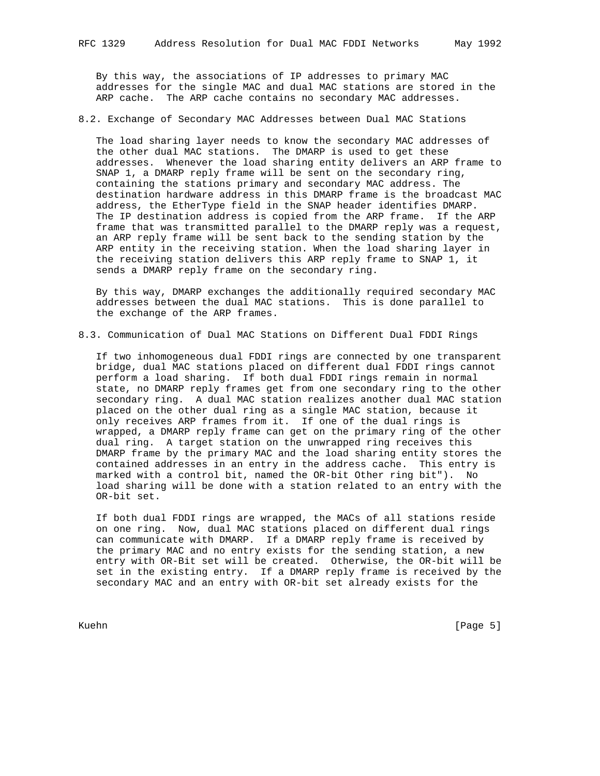By this way, the associations of IP addresses to primary MAC addresses for the single MAC and dual MAC stations are stored in the ARP cache. The ARP cache contains no secondary MAC addresses.

## 8.2. Exchange of Secondary MAC Addresses between Dual MAC Stations

 The load sharing layer needs to know the secondary MAC addresses of the other dual MAC stations. The DMARP is used to get these addresses. Whenever the load sharing entity delivers an ARP frame to SNAP 1, a DMARP reply frame will be sent on the secondary ring, containing the stations primary and secondary MAC address. The destination hardware address in this DMARP frame is the broadcast MAC address, the EtherType field in the SNAP header identifies DMARP. The IP destination address is copied from the ARP frame. If the ARP frame that was transmitted parallel to the DMARP reply was a request, an ARP reply frame will be sent back to the sending station by the ARP entity in the receiving station. When the load sharing layer in the receiving station delivers this ARP reply frame to SNAP 1, it sends a DMARP reply frame on the secondary ring.

 By this way, DMARP exchanges the additionally required secondary MAC addresses between the dual MAC stations. This is done parallel to the exchange of the ARP frames.

8.3. Communication of Dual MAC Stations on Different Dual FDDI Rings

 If two inhomogeneous dual FDDI rings are connected by one transparent bridge, dual MAC stations placed on different dual FDDI rings cannot perform a load sharing. If both dual FDDI rings remain in normal state, no DMARP reply frames get from one secondary ring to the other secondary ring. A dual MAC station realizes another dual MAC station placed on the other dual ring as a single MAC station, because it only receives ARP frames from it. If one of the dual rings is wrapped, a DMARP reply frame can get on the primary ring of the other dual ring. A target station on the unwrapped ring receives this DMARP frame by the primary MAC and the load sharing entity stores the contained addresses in an entry in the address cache. This entry is marked with a control bit, named the OR-bit Other ring bit"). No load sharing will be done with a station related to an entry with the OR-bit set.

 If both dual FDDI rings are wrapped, the MACs of all stations reside on one ring. Now, dual MAC stations placed on different dual rings can communicate with DMARP. If a DMARP reply frame is received by the primary MAC and no entry exists for the sending station, a new entry with OR-Bit set will be created. Otherwise, the OR-bit will be set in the existing entry. If a DMARP reply frame is received by the secondary MAC and an entry with OR-bit set already exists for the

Kuehn [Page 5]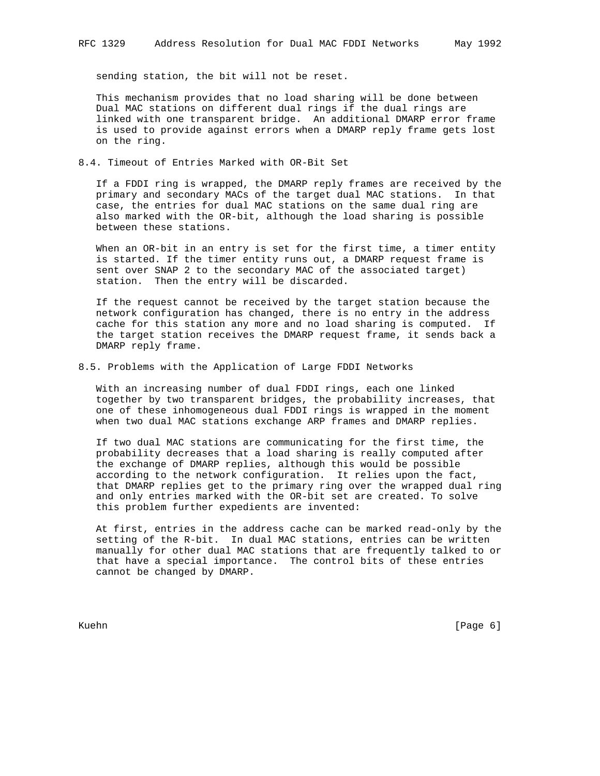sending station, the bit will not be reset.

 This mechanism provides that no load sharing will be done between Dual MAC stations on different dual rings if the dual rings are linked with one transparent bridge. An additional DMARP error frame is used to provide against errors when a DMARP reply frame gets lost on the ring.

8.4. Timeout of Entries Marked with OR-Bit Set

 If a FDDI ring is wrapped, the DMARP reply frames are received by the primary and secondary MACs of the target dual MAC stations. In that case, the entries for dual MAC stations on the same dual ring are also marked with the OR-bit, although the load sharing is possible between these stations.

 When an OR-bit in an entry is set for the first time, a timer entity is started. If the timer entity runs out, a DMARP request frame is sent over SNAP 2 to the secondary MAC of the associated target) station. Then the entry will be discarded.

 If the request cannot be received by the target station because the network configuration has changed, there is no entry in the address cache for this station any more and no load sharing is computed. If the target station receives the DMARP request frame, it sends back a DMARP reply frame.

8.5. Problems with the Application of Large FDDI Networks

 With an increasing number of dual FDDI rings, each one linked together by two transparent bridges, the probability increases, that one of these inhomogeneous dual FDDI rings is wrapped in the moment when two dual MAC stations exchange ARP frames and DMARP replies.

 If two dual MAC stations are communicating for the first time, the probability decreases that a load sharing is really computed after the exchange of DMARP replies, although this would be possible according to the network configuration. It relies upon the fact, that DMARP replies get to the primary ring over the wrapped dual ring and only entries marked with the OR-bit set are created. To solve this problem further expedients are invented:

 At first, entries in the address cache can be marked read-only by the setting of the R-bit. In dual MAC stations, entries can be written manually for other dual MAC stations that are frequently talked to or that have a special importance. The control bits of these entries cannot be changed by DMARP.

Kuehn [Page 6]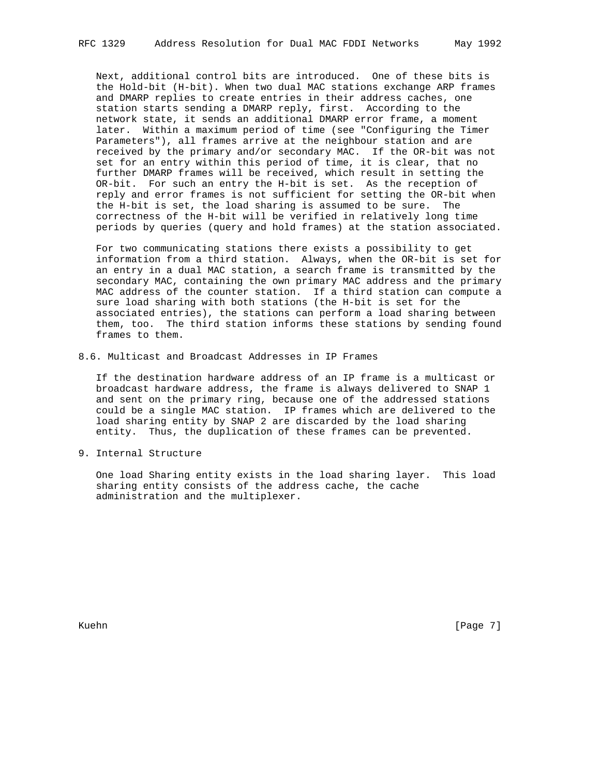Next, additional control bits are introduced. One of these bits is the Hold-bit (H-bit). When two dual MAC stations exchange ARP frames and DMARP replies to create entries in their address caches, one station starts sending a DMARP reply, first. According to the network state, it sends an additional DMARP error frame, a moment later. Within a maximum period of time (see "Configuring the Timer Parameters"), all frames arrive at the neighbour station and are received by the primary and/or secondary MAC. If the OR-bit was not set for an entry within this period of time, it is clear, that no further DMARP frames will be received, which result in setting the OR-bit. For such an entry the H-bit is set. As the reception of reply and error frames is not sufficient for setting the OR-bit when the H-bit is set, the load sharing is assumed to be sure. The correctness of the H-bit will be verified in relatively long time periods by queries (query and hold frames) at the station associated.

 For two communicating stations there exists a possibility to get information from a third station. Always, when the OR-bit is set for an entry in a dual MAC station, a search frame is transmitted by the secondary MAC, containing the own primary MAC address and the primary MAC address of the counter station. If a third station can compute a sure load sharing with both stations (the H-bit is set for the associated entries), the stations can perform a load sharing between them, too. The third station informs these stations by sending found frames to them.

8.6. Multicast and Broadcast Addresses in IP Frames

 If the destination hardware address of an IP frame is a multicast or broadcast hardware address, the frame is always delivered to SNAP 1 and sent on the primary ring, because one of the addressed stations could be a single MAC station. IP frames which are delivered to the load sharing entity by SNAP 2 are discarded by the load sharing entity. Thus, the duplication of these frames can be prevented.

9. Internal Structure

 One load Sharing entity exists in the load sharing layer. This load sharing entity consists of the address cache, the cache administration and the multiplexer.

Kuehn [Page 7]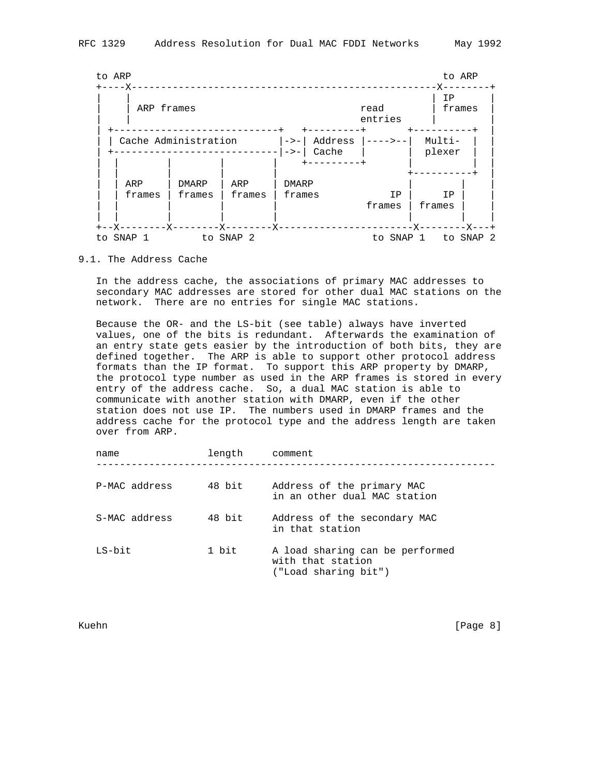

### 9.1. The Address Cache

 In the address cache, the associations of primary MAC addresses to secondary MAC addresses are stored for other dual MAC stations on the network. There are no entries for single MAC stations.

 Because the OR- and the LS-bit (see table) always have inverted values, one of the bits is redundant. Afterwards the examination of an entry state gets easier by the introduction of both bits, they are defined together. The ARP is able to support other protocol address formats than the IP format. To support this ARP property by DMARP, the protocol type number as used in the ARP frames is stored in every entry of the address cache. So, a dual MAC station is able to communicate with another station with DMARP, even if the other station does not use IP. The numbers used in DMARP frames and the address cache for the protocol type and the address length are taken over from ARP.

| name          | length | comment                                                                      |
|---------------|--------|------------------------------------------------------------------------------|
| P-MAC address | 48 bit | Address of the primary MAC<br>in an other dual MAC station                   |
| S-MAC address | 48 bit | Address of the secondary MAC<br>in that station                              |
| LS-bit        | 1 bit  | A load sharing can be performed<br>with that station<br>("Load sharing bit") |

Kuehn [Page 8]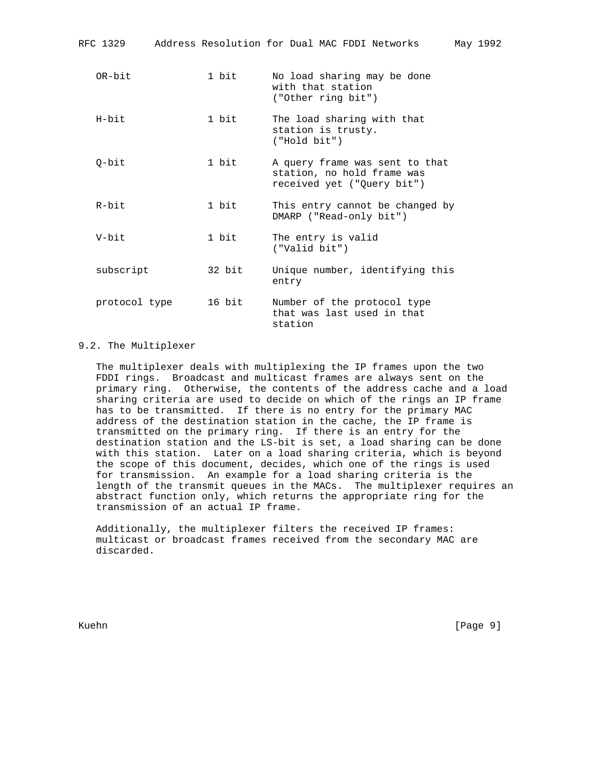| RFC 1329      |        | Address Resolution for Dual MAC FDDI Networks                                              | May 1992 |  |
|---------------|--------|--------------------------------------------------------------------------------------------|----------|--|
| OR-bit        | 1 bit  | No load sharing may be done<br>with that station<br>("Other ring bit")                     |          |  |
| $H$ – $h$ it  | 1 bit  | The load sharing with that<br>station is trusty.<br>("Hold bit")                           |          |  |
| $O-bit$       | 1 bit  | A query frame was sent to that<br>station, no hold frame was<br>received yet ("Query bit") |          |  |
| $R - h i t$   | 1 bit  | This entry cannot be changed by<br>DMARP ("Read-only bit")                                 |          |  |
| V-bit         | 1 bit  | The entry is valid<br>("Valid bit")                                                        |          |  |
| subscript     | 32 bit | Unique number, identifying this<br>entry                                                   |          |  |
| protocol type | 16 bit | Number of the protocol type<br>that was last used in that<br>station                       |          |  |

## 9.2. The Multiplexer

 The multiplexer deals with multiplexing the IP frames upon the two FDDI rings. Broadcast and multicast frames are always sent on the primary ring. Otherwise, the contents of the address cache and a load sharing criteria are used to decide on which of the rings an IP frame has to be transmitted. If there is no entry for the primary MAC address of the destination station in the cache, the IP frame is transmitted on the primary ring. If there is an entry for the destination station and the LS-bit is set, a load sharing can be done with this station. Later on a load sharing criteria, which is beyond the scope of this document, decides, which one of the rings is used for transmission. An example for a load sharing criteria is the length of the transmit queues in the MACs. The multiplexer requires an abstract function only, which returns the appropriate ring for the transmission of an actual IP frame.

 Additionally, the multiplexer filters the received IP frames: multicast or broadcast frames received from the secondary MAC are discarded.

Kuehn [Page 9]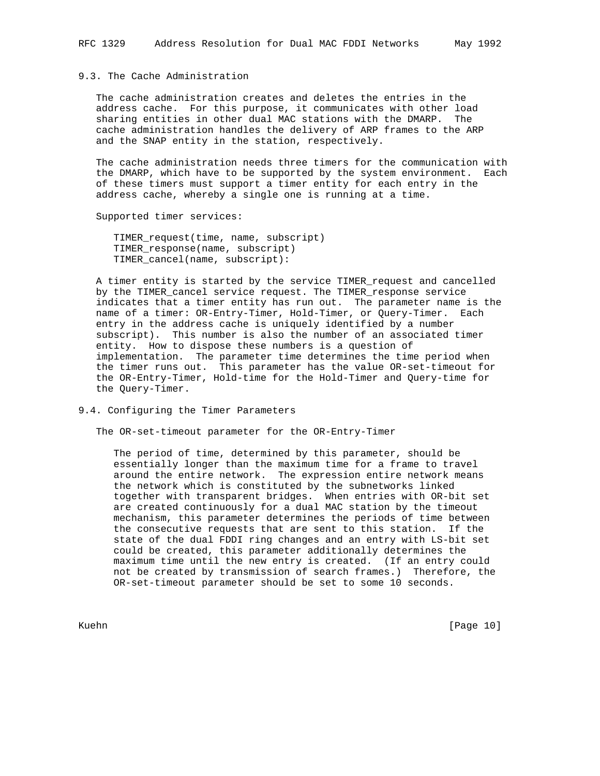# 9.3. The Cache Administration

 The cache administration creates and deletes the entries in the address cache. For this purpose, it communicates with other load sharing entities in other dual MAC stations with the DMARP. The cache administration handles the delivery of ARP frames to the ARP and the SNAP entity in the station, respectively.

 The cache administration needs three timers for the communication with the DMARP, which have to be supported by the system environment. Each of these timers must support a timer entity for each entry in the address cache, whereby a single one is running at a time.

Supported timer services:

 TIMER\_request(time, name, subscript) TIMER\_response(name, subscript) TIMER\_cancel(name, subscript):

 A timer entity is started by the service TIMER\_request and cancelled by the TIMER\_cancel service request. The TIMER\_response service indicates that a timer entity has run out. The parameter name is the name of a timer: OR-Entry-Timer, Hold-Timer, or Query-Timer. Each entry in the address cache is uniquely identified by a number subscript). This number is also the number of an associated timer entity. How to dispose these numbers is a question of implementation. The parameter time determines the time period when the timer runs out. This parameter has the value OR-set-timeout for the OR-Entry-Timer, Hold-time for the Hold-Timer and Query-time for the Query-Timer.

9.4. Configuring the Timer Parameters

The OR-set-timeout parameter for the OR-Entry-Timer

 The period of time, determined by this parameter, should be essentially longer than the maximum time for a frame to travel around the entire network. The expression entire network means the network which is constituted by the subnetworks linked together with transparent bridges. When entries with OR-bit set are created continuously for a dual MAC station by the timeout mechanism, this parameter determines the periods of time between the consecutive requests that are sent to this station. If the state of the dual FDDI ring changes and an entry with LS-bit set could be created, this parameter additionally determines the maximum time until the new entry is created. (If an entry could not be created by transmission of search frames.) Therefore, the OR-set-timeout parameter should be set to some 10 seconds.

Kuehn [Page 10]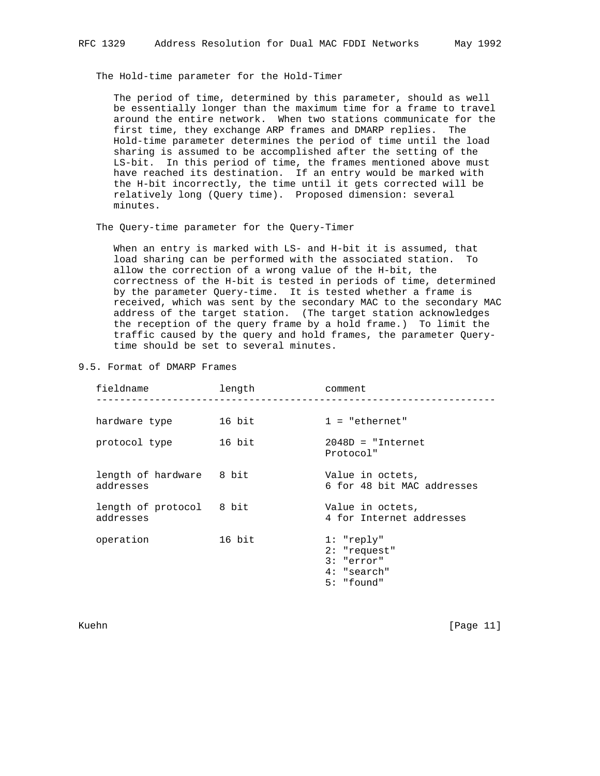The Hold-time parameter for the Hold-Timer

 The period of time, determined by this parameter, should as well be essentially longer than the maximum time for a frame to travel around the entire network. When two stations communicate for the first time, they exchange ARP frames and DMARP replies. The Hold-time parameter determines the period of time until the load sharing is assumed to be accomplished after the setting of the LS-bit. In this period of time, the frames mentioned above must have reached its destination. If an entry would be marked with the H-bit incorrectly, the time until it gets corrected will be relatively long (Query time). Proposed dimension: several minutes.

The Query-time parameter for the Query-Timer

 When an entry is marked with LS- and H-bit it is assumed, that load sharing can be performed with the associated station. To allow the correction of a wrong value of the H-bit, the correctness of the H-bit is tested in periods of time, determined by the parameter Query-time. It is tested whether a frame is received, which was sent by the secondary MAC to the secondary MAC address of the target station. (The target station acknowledges the reception of the query frame by a hold frame.) To limit the traffic caused by the query and hold frames, the parameter Query time should be set to several minutes.

| fieldname                             | length | comment                                                                       |
|---------------------------------------|--------|-------------------------------------------------------------------------------|
| hardware type                         | 16 bit | $1 = "ethernet"$                                                              |
| protocol type                         | 16 bit | $2048D = "Internet$<br>Protocol"                                              |
| length of hardware 8 bit<br>addresses |        | Value in octets,<br>6 for 48 bit MAC addresses                                |
| length of protocol 8 bit<br>addresses |        | Value in octets,<br>4 for Internet addresses                                  |
| operation                             | 16 bit | 1: "reply"<br>$2:$ "request"<br>$3:$ "error"<br>$4:$ "search"<br>$5:$ "found" |

9.5. Format of DMARP Frames

Kuehn [Page 11]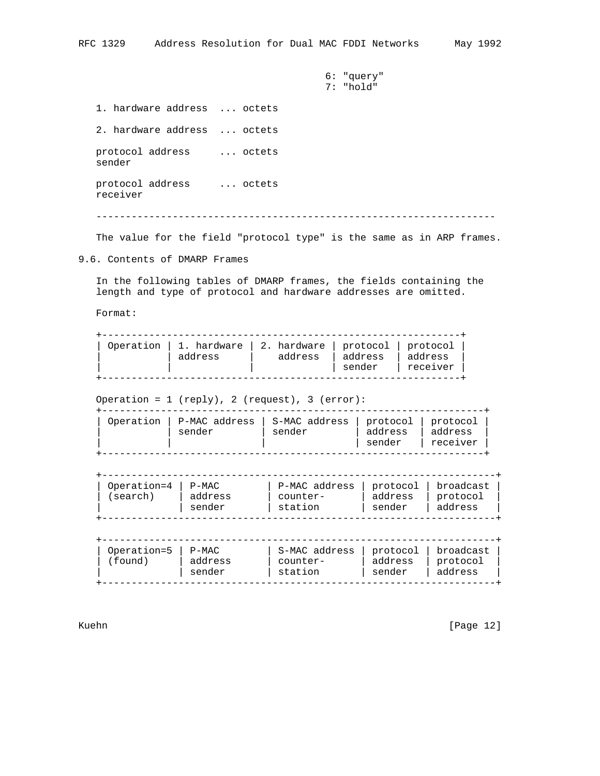6: "query" 7: "hold"

 1. hardware address ... octets 2. hardware address ... octets protocol address ... octets sender protocol address ... octets receiver --------------------------------------------------------------------

The value for the field "protocol type" is the same as in ARP frames.

9.6. Contents of DMARP Frames

 In the following tables of DMARP frames, the fields containing the length and type of protocol and hardware addresses are omitted.

Format:

|  | Operation   1. hardware   2. hardware   protocol   protocol  <br>address | address | address<br>sender | address<br>receiver |
|--|--------------------------------------------------------------------------|---------|-------------------|---------------------|
|--|--------------------------------------------------------------------------|---------|-------------------|---------------------|

Operation = 1 (reply), 2 (request), 3 (error):

| Operation<br>P-MAC address<br>sender | S-MAC address<br>sender | protocol   protocol<br>address<br>sender | address<br>receiver |
|--------------------------------------|-------------------------|------------------------------------------|---------------------|
|--------------------------------------|-------------------------|------------------------------------------|---------------------|

| Operation=4<br>P-MAC<br>(search)<br>address<br>sender | P-MAC address<br>counter-<br>station | protocol  <br>address<br>sender | i broadcast<br>protocol<br>address |
|-------------------------------------------------------|--------------------------------------|---------------------------------|------------------------------------|
|-------------------------------------------------------|--------------------------------------|---------------------------------|------------------------------------|

| Operation=5<br>$P-MAC$<br>found)<br>address<br>sender | S-MAC address<br>counter-<br>station | protocol  <br>address<br>sender | l broadcast<br>protocol<br>address |
|-------------------------------------------------------|--------------------------------------|---------------------------------|------------------------------------|
|-------------------------------------------------------|--------------------------------------|---------------------------------|------------------------------------|

Kuehn [Page 12]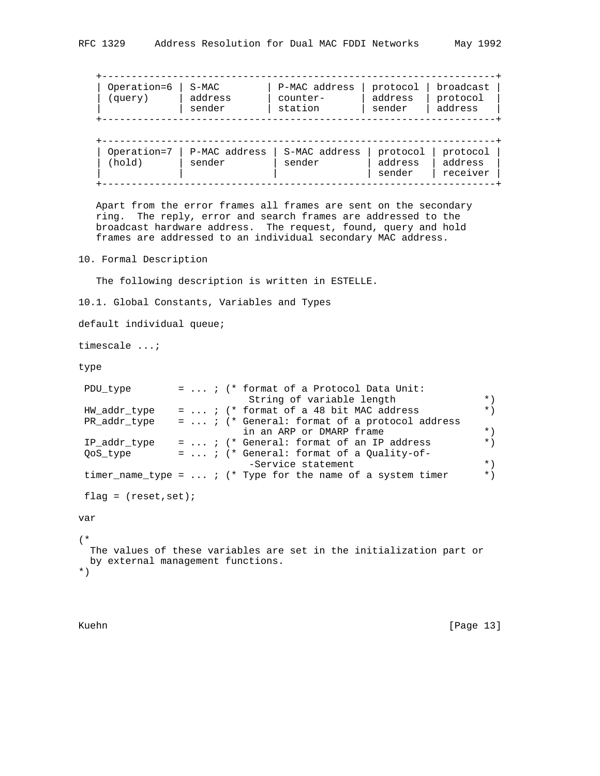| Operation=6   S-MAC |         | P-MAC address | protocol   broadcast |          |
|---------------------|---------|---------------|----------------------|----------|
| (query)             | address | counter-      | address              | protocol |
|                     | sender  | station       | sender               | address  |

| (hold) | Operation=7   P-MAC address   S-MAC address<br>sender | sender | protocol protocol<br>address | address  |
|--------|-------------------------------------------------------|--------|------------------------------|----------|
|        |                                                       |        | sender                       | receiver |

 Apart from the error frames all frames are sent on the secondary ring. The reply, error and search frames are addressed to the broadcast hardware address. The request, found, query and hold frames are addressed to an individual secondary MAC address.

10. Formal Description

The following description is written in ESTELLE.

10.1. Global Constants, Variables and Types

default individual queue;

timescale ...;

type

```
PDU_type = ... ; (* format of a Protocol Data Unit:<br>String of variable length
 String of variable length *)
 HW_addr_type = ... ; (* format of a 48 bit MAC address *)
 PR_addr_type = ... ; (* General: format of a protocol address
                         in an ARP or DMARP frame *)<br>General: format of an IP address *)
IP\_addr\_type = ... ; (* General: format of an IP address *)
QoS\_type = ... ; (* General: format of a Quality-of-
                          -Service statement *)
timer_name_type = \dots ; (* Type for the name of a system timer *)
flag = (reset, set);var
(*
```
 The values of these variables are set in the initialization part or by external management functions. \*)

Kuehn [Page 13]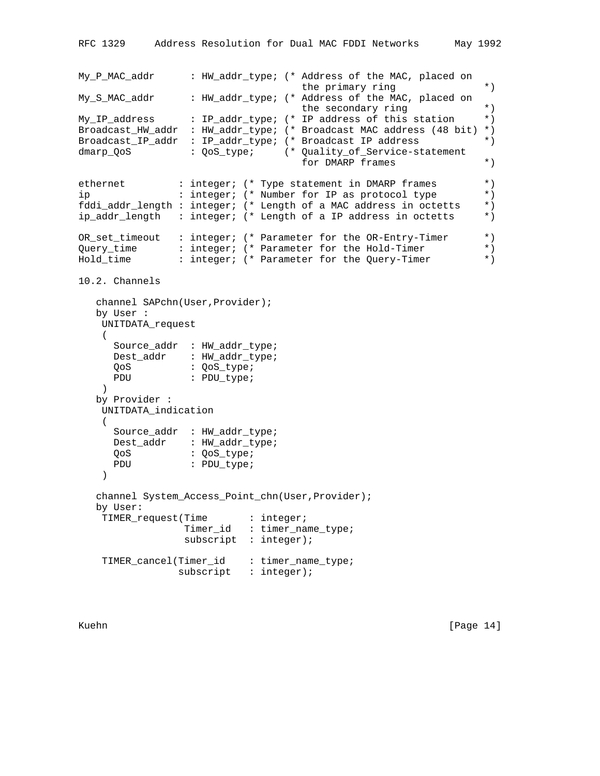```
My_P_MAC_addr : HW_addr_type; (* Address of the MAC, placed on
                                       the primary ring *)
My_S_MAC_addr : HW_addr_type; (* Address of the MAC, placed on
                                       the secondary ring *)
My_IP_address : IP_addr_type; (* IP address of this station *)
Broadcast_HW_addr : HW_addr_type; (* Broadcast MAC address (48 bit) *)
Broadcast_IP_addr : IP_addr_type; (* Broadcast IP address *)
dmarp_QoS : QoS_type; (* Quality_of_Service-statement
                                       for DMARP frames *)
ethernet : integer; (* Type statement in DMARP frames *)
ip : integer; (* Number for IP as protocol type *)<br>fddi addr length : integer; (* Length of a MAC address in octetts *)
fddi_addr_length : integer; (* Length of a MAC address in octetts *)<br>ip addr length : integer; (* Length of a IP address in octetts *)
ip_addr_length : integer; (* Length of a IP address in octetts *)
OR_set_timeout : integer; (* Parameter for the OR-Entry-Timer *)
Query_time : integer; (* Parameter for the Hold-Timer *)<br>Hold time : integer; (* Parameter for the Ouery-Timer *)
Hold_time : integer; (* Parameter for the Query-Timer *)
10.2. Channels
    channel SAPchn(User,Provider);
    by User :
    UNITDATA_request
    ( Source_addr : HW_addr_type;
 Dest_addr : HW_addr_type;
QoS : QoS_type;
     PDU : PDU_type;
```
 by Provider : UNITDATA\_indication  $\left($ 

)

Source addr : HW addr type; Dest\_addr : HW\_addr\_type; QoS : QoS\_type; PDU : PDU\_type;  $\left( \right)$  channel System\_Access\_Point\_chn(User,Provider); by User: TIMER\_request(Time : integer; Timer\_id : timer\_name\_type; subscript : integer);

 TIMER\_cancel(Timer\_id : timer\_name\_type; subscript : integer);

Kuehn [Page 14]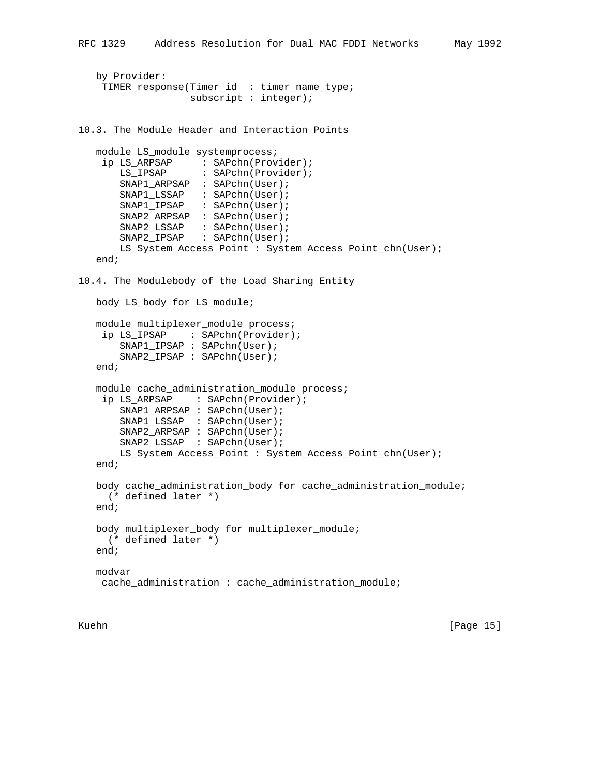```
 by Provider:
     TIMER_response(Timer_id : timer_name_type;
                    subscript : integer);
10.3. The Module Header and Interaction Points
   module LS_module systemprocess;
     ip LS_ARPSAP : SAPchn(Provider);
      LS IPSAP : SAPchn(Provider);
       SNAP1_ARPSAP : SAPchn(User);
       SNAP1_LSSAP : SAPchn(User);
       SNAP1_IPSAP : SAPchn(User);
       SNAP2_ARPSAP : SAPchn(User);
 SNAP2_LSSAP : SAPchn(User);
SNAP2_IPSAP : SAPchn(User);
       LS_System_Access_Point : System_Access_Point_chn(User);
    end;
10.4. The Modulebody of the Load Sharing Entity
   body LS_body for LS_module;
   module multiplexer_module process;
    ip LS_IPSAP : SAPchn(Provider);
       SNAP1_IPSAP : SAPchn(User);
       SNAP2_IPSAP : SAPchn(User);
    end;
   module cache_administration_module process;
    ip LS ARPSAP : SAPchn(Provider);
       SNAP1_ARPSAP : SAPchn(User);
       SNAP1_LSSAP : SAPchn(User);
       SNAP2_ARPSAP : SAPchn(User);
       SNAP2_LSSAP : SAPchn(User);
       LS_System_Access_Point : System_Access_Point_chn(User);
    end;
   body cache_administration_body for cache_administration_module;
     (* defined later *)
    end;
   body multiplexer_body for multiplexer_module;
     (* defined later *)
    end;
   modvar
    cache_administration : cache_administration_module;
```
Kuehn [Page 15]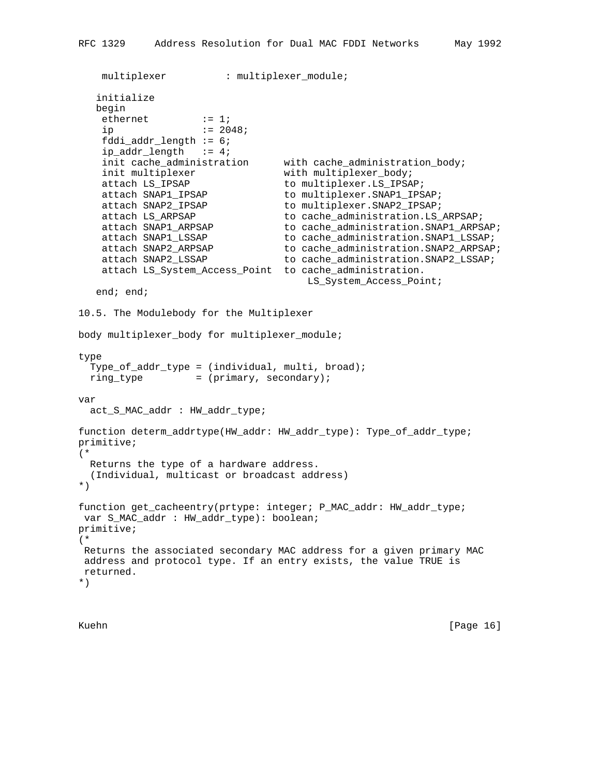```
multiplexer : multiplexer_module;
   initialize
   begin
   ethernet := 1;
   ip = 2048; fddi_addr_length := 6;
   ip\_addr\_length := 4;
   init cache_administration with cache_administration_body;<br>init multiplexer with multiplexer_body;
                                with multiplexer body;
   attach LS_IPSAP to multiplexer.LS_IPSAP;
   attach SNAP1_IPSAP to multiplexer.SNAP1_IPSAP;
   attach SNAP2_IPSAP to multiplexer.SNAP2_IPSAP;
 attach LS_ARPSAP to cache_administration.LS_ARPSAP;
 attach SNAP1_ARPSAP to cache_administration.SNAP1_ARPSAP;
   attach SNAP1_LSSAP to cache_administration.SNAP1_LSSAP;
   attach SNAP2_ARPSAP to cache_administration.SNAP2_ARPSAP;
   attach SNAP2_LSSAP to cache_administration.SNAP2_LSSAP;
    attach LS_System_Access_Point to cache_administration.
                                     LS_System_Access_Point;
   end; end;
10.5. The Modulebody for the Multiplexer
body multiplexer_body for multiplexer_module;
type
   Type_of_addr_type = (individual, multi, broad);
 ring_type = (primary, secondary);
var
  act_S_MAC_addr : HW_addr_type;
function determ_addrtype(HW_addr: HW_addr_type): Type_of_addr_type;
primitive;
(*
  Returns the type of a hardware address.
   (Individual, multicast or broadcast address)
*)
function get_cacheentry(prtype: integer; P_MAC_addr: HW_addr_type;
 var S_MAC_addr : HW_addr_type): boolean;
primitive;
(*
 Returns the associated secondary MAC address for a given primary MAC
 address and protocol type. If an entry exists, the value TRUE is
 returned.
*)
```
Kuehn [Page 16]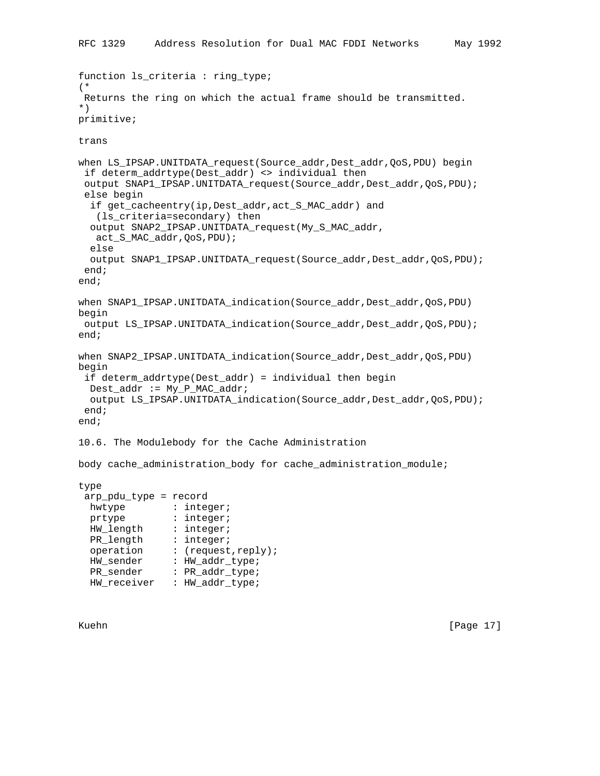```
function ls_criteria : ring_type;
(*
 Returns the ring on which the actual frame should be transmitted.
*)
primitive;
trans
when LS_IPSAP.UNITDATA_request(Source_addr,Dest_addr,QoS,PDU) begin
if determ addrtype(Dest addr) <> individual then
output SNAP1_IPSAP.UNITDATA_request(Source_addr,Dest_addr,QoS,PDU);
 else begin
   if get_cacheentry(ip,Dest_addr,act_S_MAC_addr) and
    (ls_criteria=secondary) then
  output SNAP2_IPSAP.UNITDATA_request(My_S_MAC_addr,
   act_S_MAC_addr,QoS,PDU);
  else
  output SNAP1_IPSAP.UNITDATA_request(Source_addr,Dest_addr,QoS,PDU);
 end;
end;
when SNAP1_IPSAP.UNITDATA_indication(Source_addr,Dest_addr,QoS,PDU)
begin
 output LS_IPSAP.UNITDATA_indication(Source_addr,Dest_addr,QoS,PDU);
end;
when SNAP2_IPSAP.UNITDATA_indication(Source_addr,Dest_addr,QoS,PDU)
begin
 if determ_addrtype(Dest_addr) = individual then begin
  Dest_addr := My_P_MAC_addr;
 output LS_IPSAP.UNITDATA_indication(Source_addr,Dest_addr,QoS,PDU);
 end;
end;
10.6. The Modulebody for the Cache Administration
body cache_administration_body for cache_administration_module;
type
 arp_pdu_type = record
hwtype : integer;
prtype : integer;
 HW_length : integer;
PR_length : integer;
 operation : (request,reply);
 HW_sender : HW_addr_type;
PR_sender : PR_addr_type;
 HW receiver : HW_addr_type;
```
Kuehn [Page 17]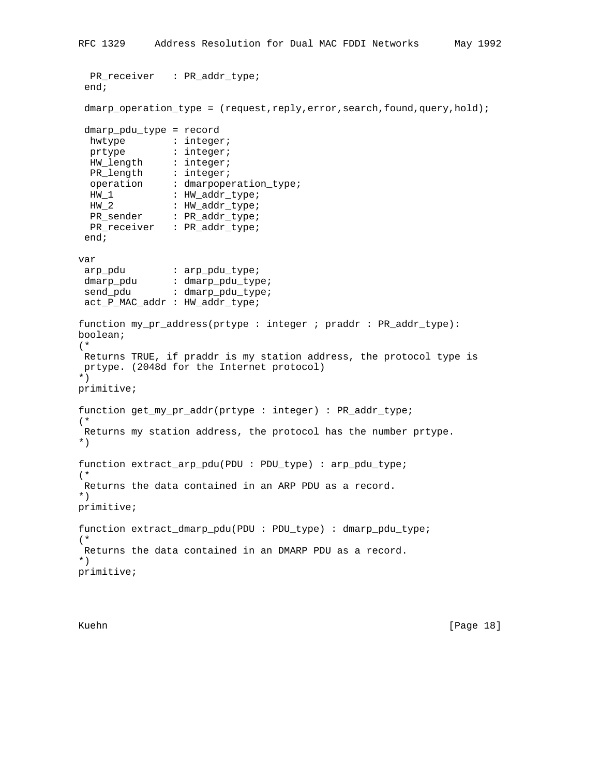```
 PR_receiver : PR_addr_type;
  end;
 dmarp operation type = (request,reply,error,search,found,query,hold);
 dmarp_pdu_type = record
 hwtype : integer;<br>nature : integer;
prtype : integer;
 HW_length : integer;
PR_length : integer;
 operation : dmarpoperation_type;
HW_1 : HW_addr_type;
HW_2 : HW_addr_type;
PR_sender : PR_addr_type;
  PR_receiver : PR_addr_type;
 end;
var
arp_pdu : arp_pdu_type;
dmarp_pdu : dmarp_pdu_type;
send_pdu : dmarp_pdu_type;
 act_P_MAC_addr : HW_addr_type;
function my_pr_address(prtype : integer ; praddr : PR_addr_type):
boolean;
(*
 Returns TRUE, if praddr is my station address, the protocol type is
 prtype. (2048d for the Internet protocol)
*)
primitive;
function get_my_pr_addr(prtype : integer) : PR_addr_type;
(*
 Returns my station address, the protocol has the number prtype.
*)
function extract_arp_pdu(PDU : PDU_type) : arp_pdu_type;
(*
 Returns the data contained in an ARP PDU as a record.
*)
primitive;
function extract_dmarp_pdu(PDU : PDU_type) : dmarp_pdu_type;
(*
 Returns the data contained in an DMARP PDU as a record.
*)
primitive;
```
Kuehn [Page 18]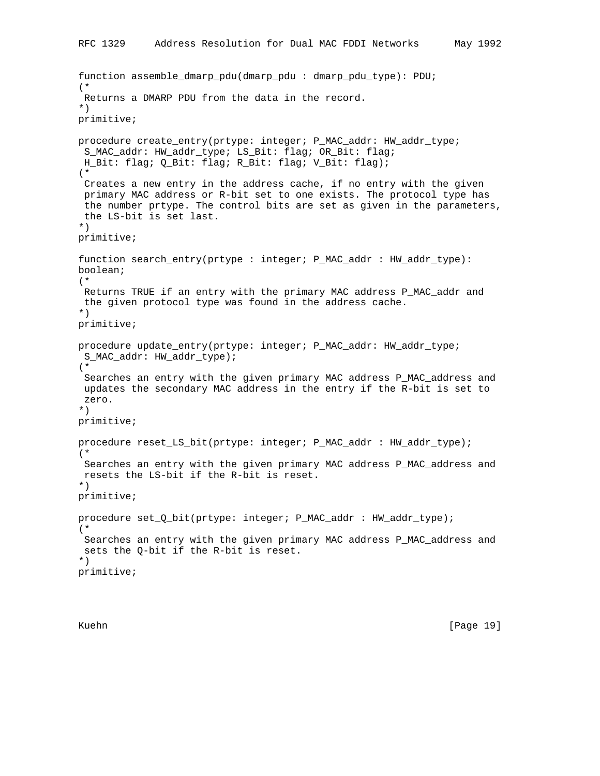```
function assemble_dmarp_pdu(dmarp_pdu : dmarp_pdu_type): PDU;
(*
 Returns a DMARP PDU from the data in the record.
*)
primitive;
procedure create_entry(prtype: integer; P_MAC_addr: HW_addr_type;
 S_MAC_addr: HW_addr_type; LS_Bit: flag; OR_Bit: flag;
 H_Bit: flag; Q_Bit: flag; R_Bit: flag; V_Bit: flag);
(*
 Creates a new entry in the address cache, if no entry with the given
 primary MAC address or R-bit set to one exists. The protocol type has
 the number prtype. The control bits are set as given in the parameters,
 the LS-bit is set last.
*)
primitive;
function search_entry(prtype : integer; P_MAC_addr : HW_addr_type):
boolean;
(*
 Returns TRUE if an entry with the primary MAC address P_MAC_addr and
 the given protocol type was found in the address cache.
*)
primitive;
procedure update_entry(prtype: integer; P_MAC_addr: HW_addr_type;
 S_MAC_addr: HW_addr_type);
(*
 Searches an entry with the given primary MAC address P_MAC_address and
 updates the secondary MAC address in the entry if the R-bit is set to
 zero.
*)
primitive;
procedure reset_LS_bit(prtype: integer; P_MAC_addr : HW_addr_type);
(*
 Searches an entry with the given primary MAC address P_MAC_address and
 resets the LS-bit if the R-bit is reset.
*)
primitive;
procedure set_Q_bit(prtype: integer; P_MAC_addr : HW_addr_type);
(*
 Searches an entry with the given primary MAC address P_MAC_address and
 sets the Q-bit if the R-bit is reset.
*)
primitive;
```
Kuehn [Page 19]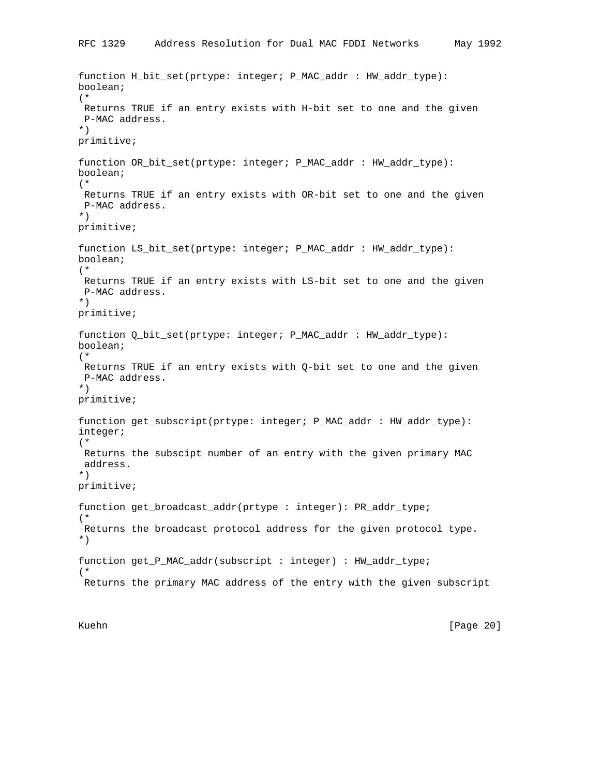```
function H_bit_set(prtype: integer; P_MAC_addr : HW_addr_type):
boolean;
(*
 Returns TRUE if an entry exists with H-bit set to one and the given
 P-MAC address.
*)
primitive;
function OR_bit_set(prtype: integer; P_MAC_addr : HW_addr_type):
boolean;
(*
 Returns TRUE if an entry exists with OR-bit set to one and the given
 P-MAC address.
*)
primitive;
function LS_bit_set(prtype: integer; P_MAC_addr : HW_addr_type):
boolean;
(*
 Returns TRUE if an entry exists with LS-bit set to one and the given
 P-MAC address.
*)
primitive;
function Q_bit_set(prtype: integer; P_MAC_addr : HW_addr_type):
boolean;
(*
 Returns TRUE if an entry exists with Q-bit set to one and the given
 P-MAC address.
*)
primitive;
function get_subscript(prtype: integer; P_MAC_addr : HW_addr_type):
integer;
(*
 Returns the subscipt number of an entry with the given primary MAC
 address.
*)
primitive;
function get_broadcast_addr(prtype : integer): PR_addr_type;
(*
 Returns the broadcast protocol address for the given protocol type.
*)
function get_P_MAC_addr(subscript : integer) : HW_addr_type;
(*
 Returns the primary MAC address of the entry with the given subscript
```
Kuehn [Page 20]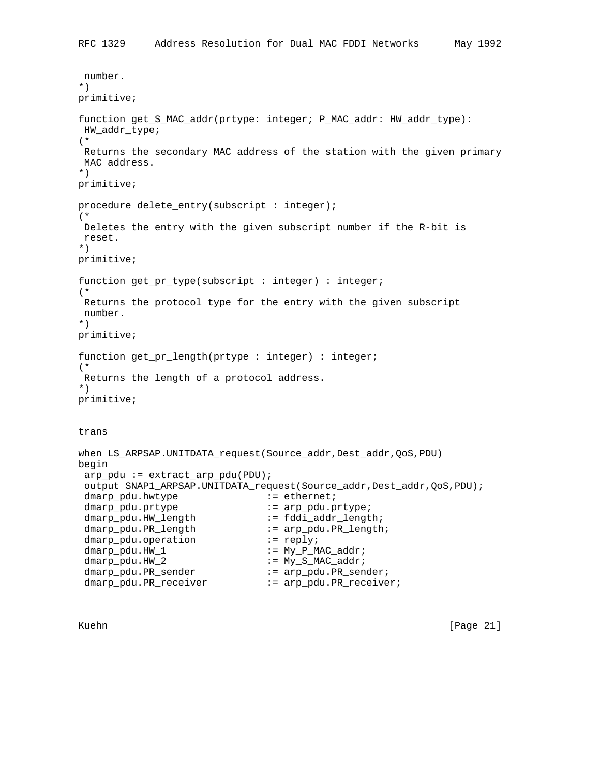```
 number.
*)
primitive;
function get_S_MAC_addr(prtype: integer; P_MAC_addr: HW_addr_type):
 HW_addr_type;
(*
 Returns the secondary MAC address of the station with the given primary
 MAC address.
*)
primitive;
procedure delete_entry(subscript : integer);
(*
 Deletes the entry with the given subscript number if the R-bit is
 reset.
*)
primitive;
function get_pr_type(subscript : integer) : integer;
(*
 Returns the protocol type for the entry with the given subscript
 number.
*)
primitive;
function get_pr_length(prtype : integer) : integer;
(*
 Returns the length of a protocol address.
*)
primitive;
trans
when LS_ARPSAP.UNITDATA_request(Source_addr,Dest_addr,QoS,PDU)
begin
 arp\_pdu := extract\_arp\_pdu(PDU);output SNAP1_ARPSAP.UNITDATA_request(Source_addr, Dest_addr, QoS, PDU);
 dmarp_pdu.hwtype \qquad \qquad \qquad : = \text{ethernet};dmarp_pdu.prtype \qquad \qquad \qquad \qquad \qquad : \quad \text{arp\_pdu.prtype:}dmarp_pdu.HW_length := fddi_addr_length;
 dmarp_pdu.PR_length := arp_pdu.PR_length;
 dmarp_pdu.operation := reply;
 dmap\_pdu.HW\_1 := My\_P_MAC\_addr;
 dmarp_pdu.HW_2 := My_S_MAC_addr;
 dmarp_pdu.PR_sender := arp_pdu.PR_sender;
dmarp_pdu.PR_receiver := arp_pdu.PR_receiver;
```
Kuehn [Page 21]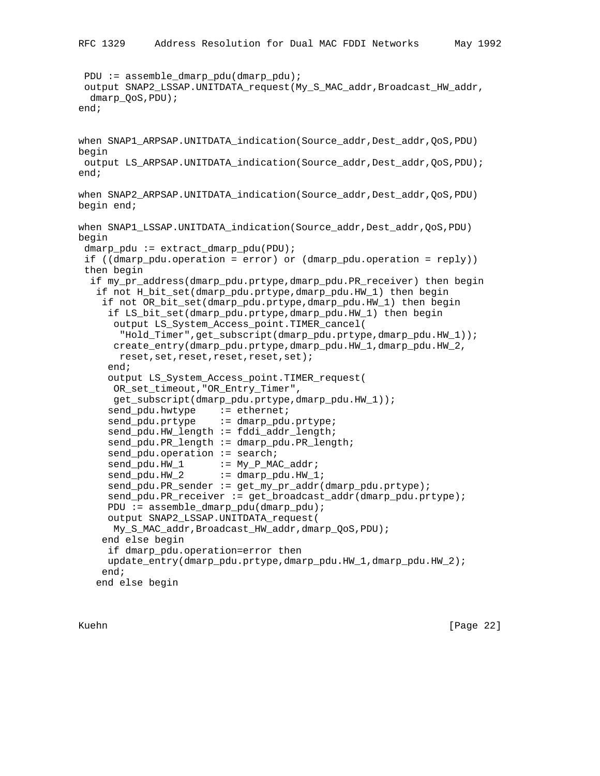```
 PDU := assemble_dmarp_pdu(dmarp_pdu);
 output SNAP2_LSSAP.UNITDATA_request(My_S_MAC_addr,Broadcast_HW_addr,
  dmarp_QoS,PDU);
end;
when SNAP1_ARPSAP.UNITDATA_indication(Source_addr,Dest_addr,QoS,PDU)
begin
 output LS_ARPSAP.UNITDATA_indication(Source_addr,Dest_addr,QoS,PDU);
end;
when SNAP2_ARPSAP.UNITDATA_indication(Source_addr,Dest_addr,QoS,PDU)
begin end;
when SNAP1_LSSAP.UNITDATA_indication(Source_addr,Dest_addr,QoS,PDU)
begin
  dmarp_pdu := extract_dmarp_pdu(PDU);
  if ((dmarp_pdu.operation = error) or (dmarp_pdu.operation = reply))
  then begin
   if my_pr_address(dmarp_pdu.prtype,dmarp_pdu.PR_receiver) then begin
    if not H_bit_set(dmarp_pdu.prtype,dmarp_pdu.HW_1) then begin
     if not OR_bit_set(dmarp_pdu.prtype,dmarp_pdu.HW_1) then begin
      if LS_bit_set(dmarp_pdu.prtype,dmarp_pdu.HW_1) then begin
       output LS_System_Access_point.TIMER_cancel(
        "Hold_Timer",get_subscript(dmarp_pdu.prtype,dmarp_pdu.HW_1));
       create_entry(dmarp_pdu.prtype,dmarp_pdu.HW_1,dmarp_pdu.HW_2,
        reset,set,reset,reset,reset,set);
      end;
      output LS_System_Access_point.TIMER_request(
      OR_set_timeout,"OR_Entry_Timer",
       get_subscript(dmarp_pdu.prtype,dmarp_pdu.HW_1));
     send_pdu.hwtype := ethernet;
     send_pdu.prtype := dmarp_pdu.prtype;
      send_pdu.HW_length := fddi_addr_length;
     send_pdu.PR_length := dmarp_pdu.PR_length;
     send_pdu.operation := search;
     send_pdu.HW_1 := My_P_MAC_addr;
     send_pdu.HW_2 := dmarp_pdu.HW_1;
      send_pdu.PR_sender := get_my_pr_addr(dmarp_pdu.prtype);
      send_pdu.PR_receiver := get_broadcast_addr(dmarp_pdu.prtype);
      PDU := assemble_dmarp_pdu(dmarp_pdu);
      output SNAP2_LSSAP.UNITDATA_request(
      My_S_MAC_addr,Broadcast_HW_addr,dmarp_QoS,PDU);
     end else begin
      if dmarp_pdu.operation=error then
     update_entry(dmarp_pdu.prtype,dmarp_pdu.HW_1,dmarp_pdu.HW_2);
     end;
    end else begin
```
Kuehn [Page 22]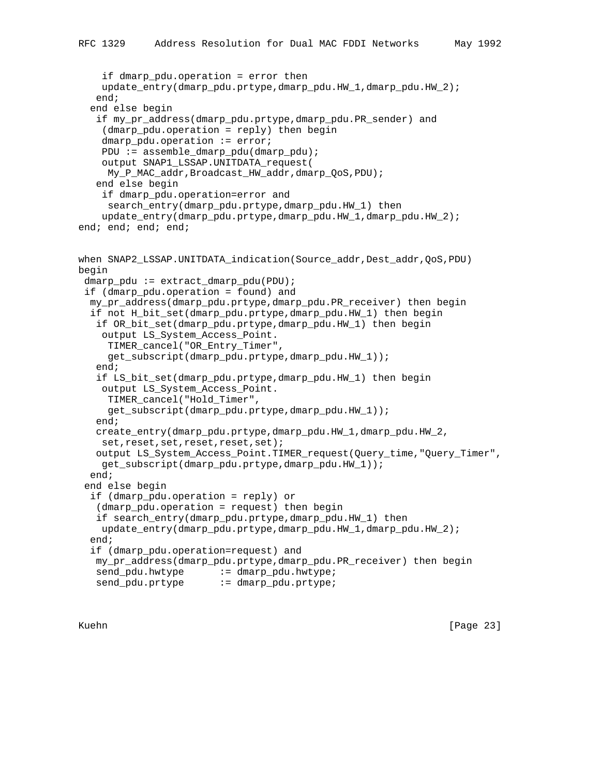```
 if dmarp_pdu.operation = error then
    update_entry(dmarp_pdu.prtype,dmarp_pdu.HW_1,dmarp_pdu.HW_2);
    end;
   end else begin
    if my_pr_address(dmarp_pdu.prtype,dmarp_pdu.PR_sender) and
     (dmarp_pdu.operation = reply) then begin
     dmarp_pdu.operation := error;
    PDU := assemble_dmarp_pdu(dmarp_pdu);
     output SNAP1_LSSAP.UNITDATA_request(
     My_P_MAC_addr,Broadcast_HW_addr,dmarp_QoS,PDU);
    end else begin
     if dmarp_pdu.operation=error and
      search_entry(dmarp_pdu.prtype,dmarp_pdu.HW_1) then
     update_entry(dmarp_pdu.prtype,dmarp_pdu.HW_1,dmarp_pdu.HW_2);
end; end; end; end;
when SNAP2_LSSAP.UNITDATA_indication(Source_addr,Dest_addr,QoS,PDU)
begin
 dmarp_pdu := extract_dmarp_pdu(PDU);
  if (dmarp_pdu.operation = found) and
  my_pr_address(dmarp_pdu.prtype,dmarp_pdu.PR_receiver) then begin
   if not H_bit_set(dmarp_pdu.prtype,dmarp_pdu.HW_1) then begin
    if OR_bit_set(dmarp_pdu.prtype,dmarp_pdu.HW_1) then begin
     output LS_System_Access_Point.
      TIMER_cancel("OR_Entry_Timer",
      get_subscript(dmarp_pdu.prtype,dmarp_pdu.HW_1));
    end;
    if LS_bit_set(dmarp_pdu.prtype,dmarp_pdu.HW_1) then begin
    output LS_System_Access_Point.
     TIMER_cancel("Hold_Timer",
      get_subscript(dmarp_pdu.prtype,dmarp_pdu.HW_1));
    end;
    create_entry(dmarp_pdu.prtype,dmarp_pdu.HW_1,dmarp_pdu.HW_2,
   set,reset,set,reset,reset,set);
    output LS_System_Access_Point.TIMER_request(Query_time,"Query_Timer",
    get_subscript(dmarp_pdu.prtype,dmarp_pdu.HW_1));
   end;
  end else begin
   if (dmarp_pdu.operation = reply) or
    (dmarp_pdu.operation = request) then begin
    if search_entry(dmarp_pdu.prtype,dmarp_pdu.HW_1) then
    update_entry(dmarp_pdu.prtype,dmarp_pdu.HW_1,dmarp_pdu.HW_2);
   end;
   if (dmarp_pdu.operation=request) and
   my_pr_address(dmarp_pdu.prtype,dmarp_pdu.PR_receiver) then begin
send_pdu.hwtype := dmarp_pdu.hwtype;
send_pdu.prtype := dmarp_pdu.prtype;
```
Kuehn [Page 23]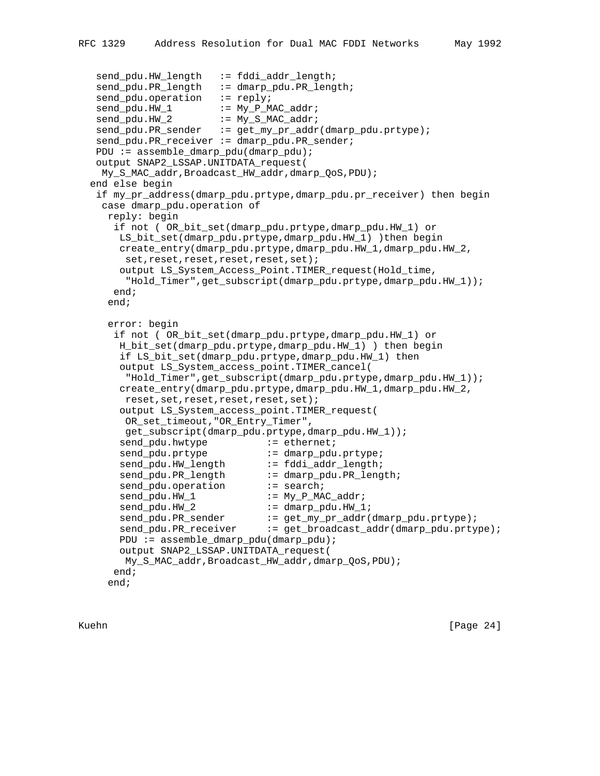```
send_pdu.HW_length := fddi_addr_length;
send_pdu.PR_length := dmarp_pdu.PR_length;
send_pdu.operation := reply;
  send_pdu.HW_1 := My_P_MAC_addr;
send_pdu.HW_2 := My_S_MAC_addr;
 send_pdu.PR_sender := get_my_pr_addr(dmarp_pdu.prtype);
   send_pdu.PR_receiver := dmarp_pdu.PR_sender;
   PDU := assemble_dmarp_pdu(dmarp_pdu);
   output SNAP2_LSSAP.UNITDATA_request(
    My_S_MAC_addr,Broadcast_HW_addr,dmarp_QoS,PDU);
  end else begin
   if my_pr_address(dmarp_pdu.prtype,dmarp_pdu.pr_receiver) then begin
    case dmarp_pdu.operation of
     reply: begin
      if not ( OR_bit_set(dmarp_pdu.prtype,dmarp_pdu.HW_1) or
       LS_bit_set(dmarp_pdu.prtype,dmarp_pdu.HW_1) )then begin
       create_entry(dmarp_pdu.prtype,dmarp_pdu.HW_1,dmarp_pdu.HW_2,
       set,reset,reset,reset,reset,set);
       output LS_System_Access_Point.TIMER_request(Hold_time,
        "Hold_Timer",get_subscript(dmarp_pdu.prtype,dmarp_pdu.HW_1));
      end;
     end;
     error: begin
      if not ( OR_bit_set(dmarp_pdu.prtype,dmarp_pdu.HW_1) or
       H_bit_set(dmarp_pdu.prtype,dmarp_pdu.HW_1) ) then begin
       if LS_bit_set(dmarp_pdu.prtype,dmarp_pdu.HW_1) then
       output LS_System_access_point.TIMER_cancel(
        "Hold_Timer",get_subscript(dmarp_pdu.prtype,dmarp_pdu.HW_1));
       create_entry(dmarp_pdu.prtype,dmarp_pdu.HW_1,dmarp_pdu.HW_2,
        reset,set,reset,reset,reset,set);
       output LS_System_access_point.TIMER_request(
        OR_set_timeout,"OR_Entry_Timer",
        get_subscript(dmarp_pdu.prtype,dmarp_pdu.HW_1));
      send_pdu.hwtype := ethernet;
      send_pdu.prtype \qquad \qquad \qquad \qquad \qquad \text{ := } \text{dmap\_pdu.}prtype;
       send_pdu.HW_length := fddi_addr_length;
      send_pdu.PR_length := dmarp_pdu.PR_length;
      send_pdu.operation := search;
      send_pdu.HW_1 := My_P_MAC_addr;
      send_pdu.HW_2 := dmarp_pdu.HW_1;
 send_pdu.PR_sender := get_my_pr_addr(dmarp_pdu.prtype);
 send_pdu.PR_receiver := get_broadcast_addr(dmarp_pdu.prtype);
       PDU := assemble_dmarp_pdu(dmarp_pdu);
       output SNAP2_LSSAP.UNITDATA_request(
        My_S_MAC_addr,Broadcast_HW_addr,dmarp_QoS,PDU);
      end;
     end;
```
Kuehn [Page 24]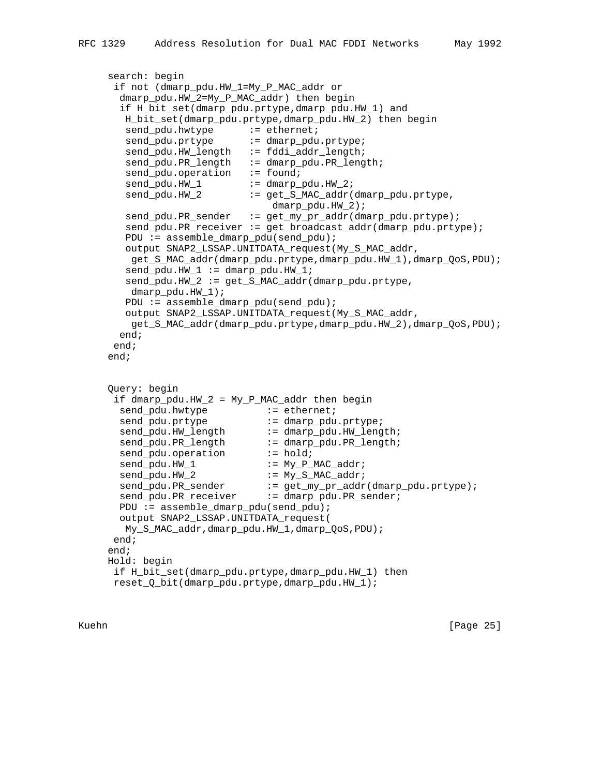```
 search: begin
      if not (dmarp_pdu.HW_1=My_P_MAC_addr or
       dmarp_pdu.HW_2=My_P_MAC_addr) then begin
       if H_bit_set(dmarp_pdu.prtype,dmarp_pdu.HW_1) and
        H_bit_set(dmarp_pdu.prtype,dmarp_pdu.HW_2) then begin
        send_pdu.hwtype := ethernet;
       send_pdu.prtype := dmarp_pdu.prtype;
       send_pdu.HW_length := fddi_addr_length;
       send_pdu.PR_length := dmarp_pdu.PR_length;
       send_pdu.operation := found;
       send_pdu.HW_1 := dmarp_pdu.HW_2;
       send_pdu.HW_2 := get_S_MAC_addr(dmarp_pdu.prtype,
                                 dmarp_pdu.HW_2);
        send_pdu.PR_sender := get_my_pr_addr(dmarp_pdu.prtype);
        send_pdu.PR_receiver := get_broadcast_addr(dmarp_pdu.prtype);
       PDU := assemble dmarp pdu(send pdu);
        output SNAP2_LSSAP.UNITDATA_request(My_S_MAC_addr,
         get_S_MAC_addr(dmarp_pdu.prtype,dmarp_pdu.HW_1),dmarp_QoS,PDU);
       send\_pdu.HW_1 := dmap\_pdu.HW_1;
       send\_pdu.HW_2 := get_S_MAC\_addr(dmarp\_pdu.prtype, dmarp_pdu.HW_1);
        PDU := assemble_dmarp_pdu(send_pdu);
        output SNAP2_LSSAP.UNITDATA_request(My_S_MAC_addr,
         get_S_MAC_addr(dmarp_pdu.prtype,dmarp_pdu.HW_2),dmarp_QoS,PDU);
       end;
      end;
     end;
     Query: begin
      if dmarp_pdu.HW_2 = My_P_MAC_addr then begin
send_pdu.hwtype \qquad \qquad \qquad \qquad :_{\exists} ethernet;
send_pdu.prtype \qquad \qquad \qquad \qquad \vdots \qquad \text{dmap\_pdu.prtype}send_pdu.HW_length := dmarp_pdu.HW_length;
 send_pdu.PR_length := dmarp_pdu.PR_length;
send_pdu.operation := hold;
      send_pdu.HW_1 := My_P_MAC_addr;
      send_pdu.HW_2 := My_S_MAC_addr;
 send_pdu.PR_sender := get_my_pr_addr(dmarp_pdu.prtype);
send_pdu.PR_receiver := dmarp_pdu.PR_sender;
       PDU := assemble_dmarp_pdu(send_pdu);
       output SNAP2_LSSAP.UNITDATA_request(
        My_S_MAC_addr,dmarp_pdu.HW_1,dmarp_QoS,PDU);
      end;
     end;
     Hold: begin
      if H_bit_set(dmarp_pdu.prtype,dmarp_pdu.HW_1) then
      reset_Q_bit(dmarp_pdu.prtype,dmarp_pdu.HW_1);
```
Kuehn [Page 25]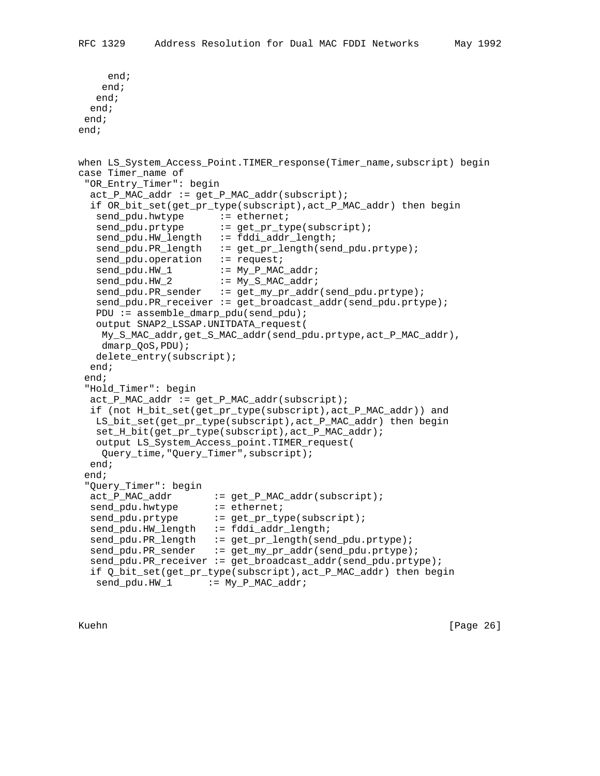```
 end;
    end;
   end;
  end;
 end;
end;
when LS_System_Access_Point.TIMER_response(Timer_name,subscript) begin
case Timer_name of
  "OR_Entry_Timer": begin
 act_P_MAC\_addr := get_P_MAC\_addr(subscript); if OR_bit_set(get_pr_type(subscript),act_P_MAC_addr) then begin
send_pdu.hwtype := ethernet;
send_pdu.prtype := get_pr_type(subscript);
  send_pdu.HW_length := fddi_addr_length;
   send_pdu.PR_length := get_pr_length(send_pdu.prtype);
  send_pdu.operation := request;
  send_pdu.HW_1 := My_P_MAC_addr;
  send_pdu.HW_2 := My_S_MAC_addr;
  send_pdu.PR_sender := get_my_pr_addr(send_pdu.prtype);
   send_pdu.PR_receiver := get_broadcast_addr(send_pdu.prtype);
   PDU := assemble_dmarp_pdu(send_pdu);
   output SNAP2_LSSAP.UNITDATA_request(
    My_S_MAC_addr,get_S_MAC_addr(send_pdu.prtype,act_P_MAC_addr),
    dmarp_QoS,PDU);
   delete_entry(subscript);
  end;
 end;
  "Hold_Timer": begin
 act_P_MAC\_addr := get_P_MAC\_addr(subscript); if (not H_bit_set(get_pr_type(subscript),act_P_MAC_addr)) and
   LS_bit_set(get_pr_type(subscript),act_P_MAC_addr) then begin
   set_H_bit(get_pr_type(subscript),act_P_MAC_addr);
   output LS_System_Access_point.TIMER_request(
    Query_time,"Query_Timer",subscript);
  end;
 end;
  "Query_Timer": begin
  act_P_MAC_addr := get_P_MAC_addr(subscript);
send_pdu.hwtype := ethernet;
send_pdu.prtype := get_pr_type(subscript);
  send_pdu.HW_length := fddi_addr_length;
  send_pdu.PR_length := get_pr_length(send_pdu.prtype);
  send_pdu.PR_sender := get_my_pr_addr(send_pdu.prtype);
  send_pdu.PR_receiver := get_broadcast_addr(send_pdu.prtype);
  if Q_bit_set(get_pr_type(subscript),act_P_MAC_addr) then begin
  send\_pdu.HW_1 := My_P_MAC\_addr;
```
Kuehn [Page 26]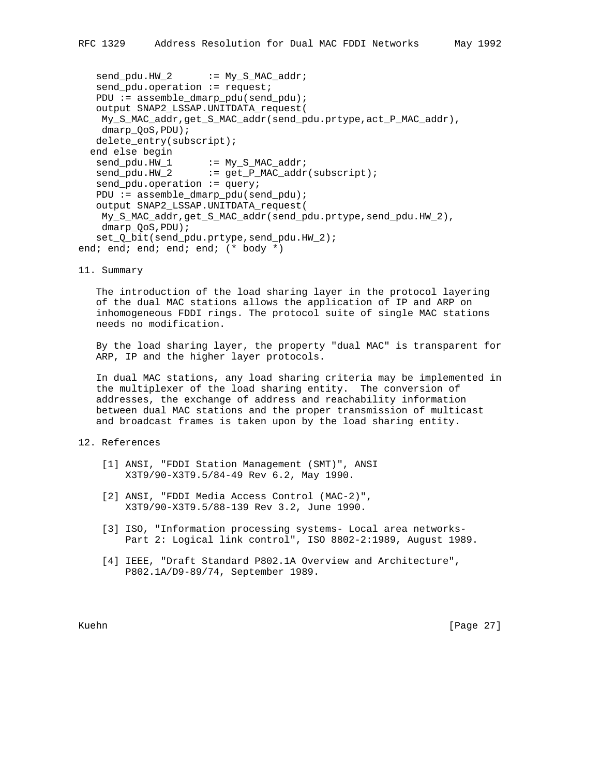```
send\_pdu.HW_2 := My_S_MAC\_addr;
   send_pdu.operation := request;
    PDU := assemble_dmarp_pdu(send_pdu);
    output SNAP2_LSSAP.UNITDATA_request(
    My_S_MAC_addr,get_S_MAC_addr(send_pdu.prtype,act_P_MAC_addr),
    dmarp_QoS,PDU);
   delete_entry(subscript);
   end else begin
send_pdu.HW_1 := My_S_MAC_addr;
send_pdu.HW_2 := get_P_MAC_addr(subscript);
  send_pdu.operation := query;
   PDU := assemble_dmarp_pdu(send_pdu);
    output SNAP2_LSSAP.UNITDATA_request(
    My_S_MAC_addr,get_S_MAC_addr(send_pdu.prtype,send_pdu.HW_2),
    dmarp_QoS,PDU);
    set_Q_bit(send_pdu.prtype,send_pdu.HW_2);
end; end; end; end; end; (* body *)
```
11. Summary

 The introduction of the load sharing layer in the protocol layering of the dual MAC stations allows the application of IP and ARP on inhomogeneous FDDI rings. The protocol suite of single MAC stations needs no modification.

 By the load sharing layer, the property "dual MAC" is transparent for ARP, IP and the higher layer protocols.

 In dual MAC stations, any load sharing criteria may be implemented in the multiplexer of the load sharing entity. The conversion of addresses, the exchange of address and reachability information between dual MAC stations and the proper transmission of multicast and broadcast frames is taken upon by the load sharing entity.

### 12. References

- [1] ANSI, "FDDI Station Management (SMT)", ANSI X3T9/90-X3T9.5/84-49 Rev 6.2, May 1990.
- [2] ANSI, "FDDI Media Access Control (MAC-2)", X3T9/90-X3T9.5/88-139 Rev 3.2, June 1990.
- [3] ISO, "Information processing systems- Local area networks- Part 2: Logical link control", ISO 8802-2:1989, August 1989.
- [4] IEEE, "Draft Standard P802.1A Overview and Architecture", P802.1A/D9-89/74, September 1989.

Kuehn [Page 27]